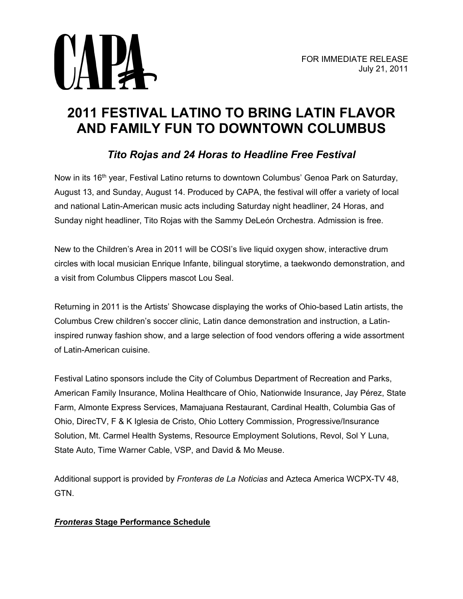

# **2011 FESTIVAL LATINO TO BRING LATIN FLAVOR AND FAMILY FUN TO DOWNTOWN COLUMBUS**

# *Tito Rojas and 24 Horas to Headline Free Festival*

Now in its 16<sup>th</sup> year, Festival Latino returns to downtown Columbus' Genoa Park on Saturday, August 13, and Sunday, August 14. Produced by CAPA, the festival will offer a variety of local and national Latin-American music acts including Saturday night headliner, 24 Horas, and Sunday night headliner, Tito Rojas with the Sammy DeLeón Orchestra. Admission is free.

New to the Children's Area in 2011 will be COSI's live liquid oxygen show, interactive drum circles with local musician Enrique Infante, bilingual storytime, a taekwondo demonstration, and a visit from Columbus Clippers mascot Lou Seal.

Returning in 2011 is the Artists' Showcase displaying the works of Ohio-based Latin artists, the Columbus Crew children's soccer clinic, Latin dance demonstration and instruction, a Latininspired runway fashion show, and a large selection of food vendors offering a wide assortment of Latin-American cuisine.

Festival Latino sponsors include the City of Columbus Department of Recreation and Parks, American Family Insurance, Molina Healthcare of Ohio, Nationwide Insurance, Jay Pérez, State Farm, Almonte Express Services, Mamajuana Restaurant, Cardinal Health, Columbia Gas of Ohio, DirecTV, F & K Iglesia de Cristo, Ohio Lottery Commission, Progressive/Insurance Solution, Mt. Carmel Health Systems, Resource Employment Solutions, Revol, Sol Y Luna, State Auto, Time Warner Cable, VSP, and David & Mo Meuse.

Additional support is provided by *Fronteras de La Noticias* and Azteca America WCPX-TV 48, GTN.

# *Fronteras* **Stage Performance Schedule**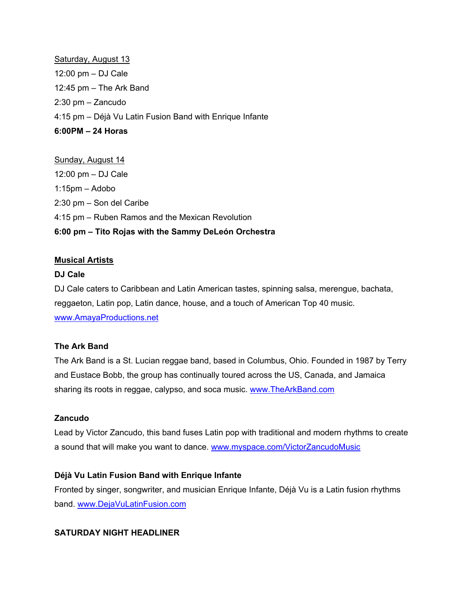Saturday, August 13 12:00 pm – DJ Cale 12:45 pm – The Ark Band 2:30 pm – Zancudo 4:15 pm – Déjà Vu Latin Fusion Band with Enrique Infante **6:00PM – 24 Horas**

Sunday, August 14 12:00 pm – DJ Cale 1:15pm – Adobo 2:30 pm – Son del Caribe 4:15 pm – Ruben Ramos and the Mexican Revolution **6:00 pm – Tito Rojas with the Sammy DeLeón Orchestra**

# **Musical Artists**

# **DJ Cale**

DJ Cale caters to Caribbean and Latin American tastes, spinning salsa, merengue, bachata, reggaeton, Latin pop, Latin dance, house, and a touch of American Top 40 music. [www.AmayaProductions.net](http://www.amayaproductions.net/) 

#### **The Ark Band**

The Ark Band is a St. Lucian reggae band, based in Columbus, Ohio. Founded in 1987 by Terry and Eustace Bobb, the group has continually toured across the US, Canada, and Jamaica sharing its roots in reggae, calypso, and soca music. www.TheArkBand.com

#### **Zancudo**

Lead by Victor Zancudo, this band fuses Latin pop with traditional and modern rhythms to create a sound that will make you want to dance. [www.myspace.com/VictorZancudoMusic](http://www.myspace.com/VictorZancudoMusic) 

# **Déjà Vu Latin Fusion Band with Enrique Infante**

Fronted by singer, songwriter, and musician Enrique Infante, Déjà Vu is a Latin fusion rhythms band. [www.DejaVuLatinFusion.com](http://www.dejavulatinfusion.com/) 

# **SATURDAY NIGHT HEADLINER**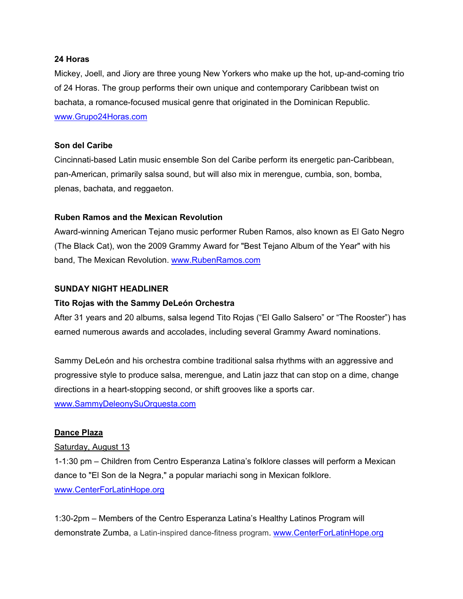#### **24 Horas**

Mickey, Joell, and Jiory are three young New Yorkers who make up the hot, up-and-coming trio of 24 Horas. The group performs their own unique and contemporary Caribbean twist on bachata, a romance-focused musical genre that originated in the Dominican Republic. [www.Grupo24Horas.com](http://www.grupo24horas.com/)

#### **Son del Caribe**

Cincinnati-based Latin music ensemble Son del Caribe perform its energetic pan-Caribbean, pan-American, primarily salsa sound, but will also mix in merengue, cumbia, son, bomba, plenas, bachata, and reggaeton.

# **Ruben Ramos and the Mexican Revolution**

Award-winning American Tejano music performer Ruben Ramos, also known as El Gato Negro (The Black Cat), won the 2009 Grammy Award for "Best Tejano Album of the Year" with his band, The Mexican Revolution. [www.RubenRamos.com](http://www.rubenramos.com/) 

# **SUNDAY NIGHT HEADLINER**

#### **Tito Rojas with the Sammy DeLeón Orchestra**

After 31 years and 20 albums, salsa legend Tito Rojas ("El Gallo Salsero" or "The Rooster") has earned numerous awards and accolades, including several Grammy Award nominations.

Sammy DeLeón and his orchestra combine traditional salsa rhythms with an aggressive and progressive style to produce salsa, merengue, and Latin jazz that can stop on a dime, change directions in a heart-stopping second, or shift grooves like a sports car. [www.SammyDeleonySuOrquesta.com](http://www.sammydeleonysuorquesta.com/)

#### **Dance Plaza**

#### Saturday, August 13

1-1:30 pm – Children from Centro Esperanza Latina's folklore classes will perform a Mexican dance to "El Son de la Negra," a popular mariachi song in Mexican folklore. [www.CenterForLatinHope.org](http://www.centerforlatinhope.org/) 

1:30-2pm – Members of the Centro Esperanza Latina's Healthy Latinos Program will demonstrate Zumba, a Latin-inspired dance-fitness program. [www.CenterForLatinHope.org](http://www.centerforlatinhope.org/)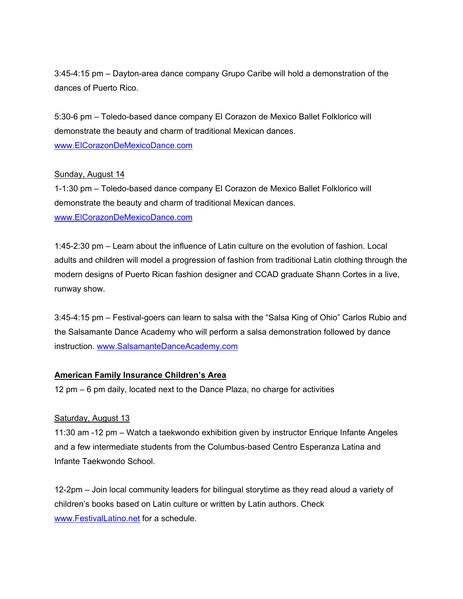3:45-4:15 pm – Dayton-area dance company Grupo Caribe will hold a demonstration of the dances of Puerto Rico.

5:30-6 pm – Toledo-based dance company El Corazon de Mexico Ballet Folklorico will demonstrate the beauty and charm of traditional Mexican dances. [www.ElCorazonDeMexicoDance.com](http://www.elcorazondemexicodance.com/)

# Sunday, August 14

1-1:30 pm – Toledo-based dance company El Corazon de Mexico Ballet Folklorico will demonstrate the beauty and charm of traditional Mexican dances. [www.ElCorazonDeMexicoDance.com](http://www.elcorazondemexicodance.com/) 

1:45-2:30 pm – Learn about the influence of Latin culture on the evolution of fashion. Local adults and children will model a progression of fashion from traditional Latin clothing through the modern designs of Puerto Rican fashion designer and CCAD graduate Shann Cortes in a live, runway show.

3:45-4:15 pm – Festival-goers can learn to salsa with the "Salsa King of Ohio" Carlos Rubio and the Salsamante Dance Academy who will perform a salsa demonstration followed by dance instruction. [www.SalsamanteDanceAcademy.com](http://www.salsamantedanceacademy.com/) 

# **American Family Insurance Children's Area**

12 pm – 6 pm daily, located next to the Dance Plaza, no charge for activities

#### Saturday, August 13

11:30 am -12 pm – Watch a taekwondo exhibition given by instructor Enrique Infante Angeles and a few intermediate students from the Columbus-based Centro Esperanza Latina and Infante Taekwondo School.

12-2pm – Join local community leaders for bilingual storytime as they read aloud a variety of children's books based on Latin culture or written by Latin authors. Check [www.FestivalLatino.net](http://www.festivallatino.net/) for a schedule.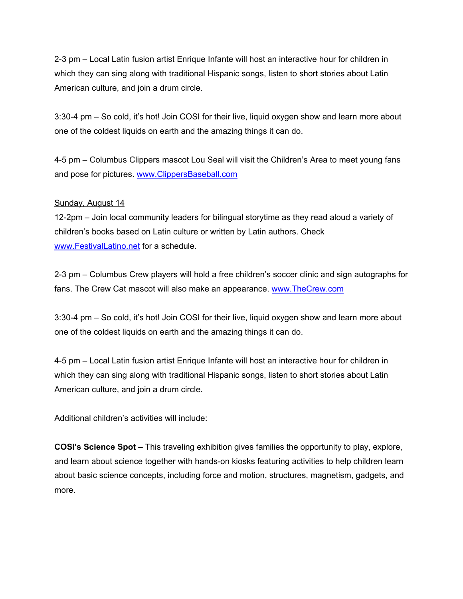2-3 pm – Local Latin fusion artist Enrique Infante will host an interactive hour for children in which they can sing along with traditional Hispanic songs, listen to short stories about Latin American culture, and join a drum circle.

3:30-4 pm – So cold, it's hot! Join COSI for their live, liquid oxygen show and learn more about one of the coldest liquids on earth and the amazing things it can do.

4-5 pm – Columbus Clippers mascot Lou Seal will visit the Children's Area to meet young fans and pose for pictures. [www.ClippersBaseball.com](http://www.clippersbaseball.com/) 

# Sunday, August 14

12-2pm – Join local community leaders for bilingual storytime as they read aloud a variety of children's books based on Latin culture or written by Latin authors. Check [www.FestivalLatino.net](http://www.festivallatino.net/) for a schedule.

2-3 pm – Columbus Crew players will hold a free children's soccer clinic and sign autographs for fans. The Crew Cat mascot will also make an appearance. [www.TheCrew.com](http://www.thecrew.com/) 

3:30-4 pm – So cold, it's hot! Join COSI for their live, liquid oxygen show and learn more about one of the coldest liquids on earth and the amazing things it can do.

4-5 pm – Local Latin fusion artist Enrique Infante will host an interactive hour for children in which they can sing along with traditional Hispanic songs, listen to short stories about Latin American culture, and join a drum circle.

Additional children's activities will include:

**COSI's Science Spot** – This traveling exhibition gives families the opportunity to play, explore, and learn about science together with hands-on kiosks featuring activities to help children learn about basic science concepts, including force and motion, structures, magnetism, gadgets, and more.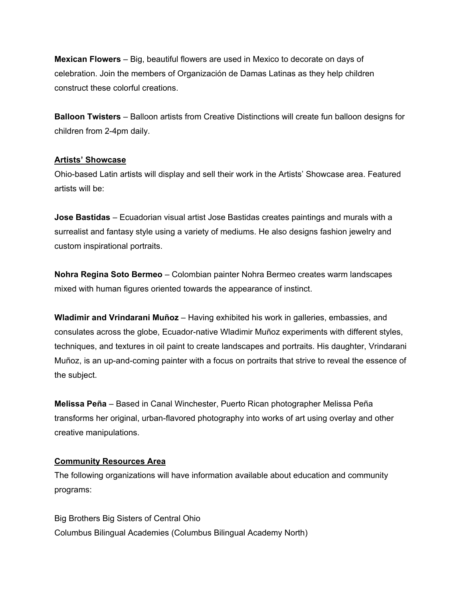**Mexican Flowers** – Big, beautiful flowers are used in Mexico to decorate on days of celebration. Join the members of Organización de Damas Latinas as they help children construct these colorful creations.

**Balloon Twisters** – Balloon artists from Creative Distinctions will create fun balloon designs for children from 2-4pm daily.

# **Artists' Showcase**

Ohio-based Latin artists will display and sell their work in the Artists' Showcase area. Featured artists will be:

**Jose Bastidas** – Ecuadorian visual artist Jose Bastidas creates paintings and murals with a surrealist and fantasy style using a variety of mediums. He also designs fashion jewelry and custom inspirational portraits.

**Nohra Regina Soto Bermeo** – Colombian painter Nohra Bermeo creates warm landscapes mixed with human figures oriented towards the appearance of instinct.

**Wladimir and Vrindarani Muñoz** – Having exhibited his work in galleries, embassies, and consulates across the globe, Ecuador-native Wladimir Muñoz experiments with different styles, techniques, and textures in oil paint to create landscapes and portraits. His daughter, Vrindarani Muñoz, is an up-and-coming painter with a focus on portraits that strive to reveal the essence of the subject.

**Melissa Peña** – Based in Canal Winchester, Puerto Rican photographer Melissa Peña transforms her original, urban-flavored photography into works of art using overlay and other creative manipulations.

# **Community Resources Area**

The following organizations will have information available about education and community programs:

Big Brothers Big Sisters of Central Ohio Columbus Bilingual Academies (Columbus Bilingual Academy North)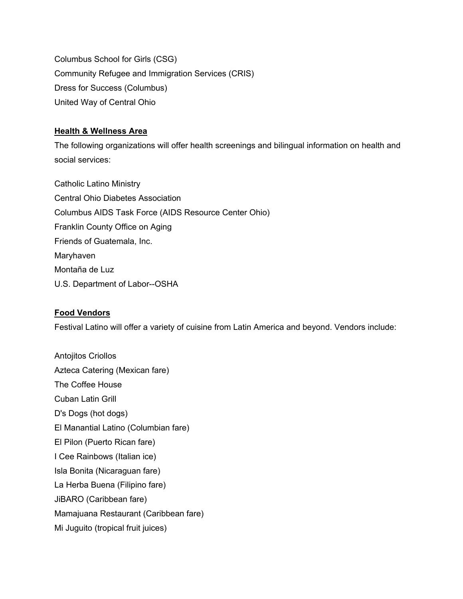Columbus School for Girls (CSG) Community Refugee and Immigration Services (CRIS) Dress for Success (Columbus) United Way of Central Ohio

# **Health & Wellness Area**

The following organizations will offer health screenings and bilingual information on health and social services:

Catholic Latino Ministry Central Ohio Diabetes Association Columbus AIDS Task Force (AIDS Resource Center Ohio) Franklin County Office on Aging Friends of Guatemala, Inc. Maryhaven Montaña de Luz U.S. Department of Labor--OSHA

# **Food Vendors**

Festival Latino will offer a variety of cuisine from Latin America and beyond. Vendors include:

Antojitos Criollos Azteca Catering (Mexican fare) The Coffee House Cuban Latin Grill D's Dogs (hot dogs) El Manantial Latino (Columbian fare) El Pilon (Puerto Rican fare) I Cee Rainbows (Italian ice) Isla Bonita (Nicaraguan fare) La Herba Buena (Filipino fare) JiBARO (Caribbean fare) Mamajuana Restaurant (Caribbean fare) Mi Juguito (tropical fruit juices)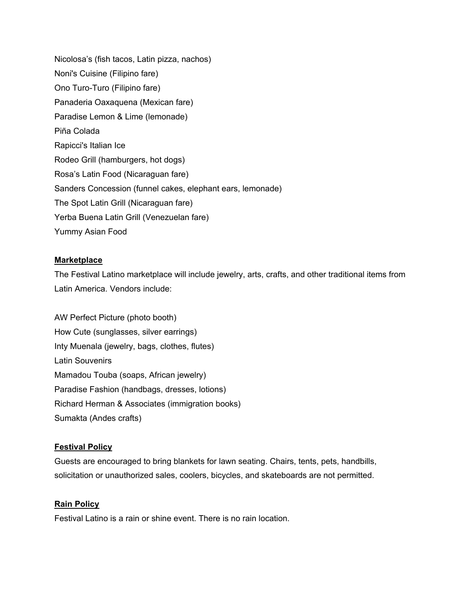Nicolosa's (fish tacos, Latin pizza, nachos) Noni's Cuisine (Filipino fare) Ono Turo-Turo (Filipino fare) Panaderia Oaxaquena (Mexican fare) Paradise Lemon & Lime (lemonade) Piña Colada Rapicci's Italian Ice Rodeo Grill (hamburgers, hot dogs) Rosa's Latin Food (Nicaraguan fare) Sanders Concession (funnel cakes, elephant ears, lemonade) The Spot Latin Grill (Nicaraguan fare) Yerba Buena Latin Grill (Venezuelan fare) Yummy Asian Food

# **Marketplace**

The Festival Latino marketplace will include jewelry, arts, crafts, and other traditional items from Latin America. Vendors include:

AW Perfect Picture (photo booth) How Cute (sunglasses, silver earrings) Inty Muenala (jewelry, bags, clothes, flutes) Latin Souvenirs Mamadou Touba (soaps, African jewelry) Paradise Fashion (handbags, dresses, lotions) Richard Herman & Associates (immigration books) Sumakta (Andes crafts)

# **Festival Policy**

Guests are encouraged to bring blankets for lawn seating. Chairs, tents, pets, handbills, solicitation or unauthorized sales, coolers, bicycles, and skateboards are not permitted.

# **Rain Policy**

Festival Latino is a rain or shine event. There is no rain location.